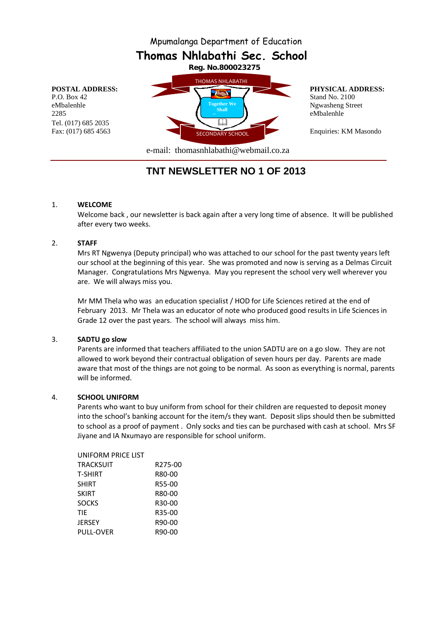Mpumalanga Department of Education

**Thomas Nhlabathi Sec. School**

Tel. (017) 685 2035



e-mail: thomasnhlabathi@webmail.co.za

# **TNT NEWSLETTER NO 1 OF 2013**

#### 1. **WELCOME**

Welcome back , our newsletter is back again after a very long time of absence. It will be published after every two weeks.

## 2. **STAFF**

Mrs RT Ngwenya (Deputy principal) who was attached to our school for the past twenty years left our school at the beginning of this year. She was promoted and now is serving as a Delmas Circuit Manager. Congratulations Mrs Ngwenya. May you represent the school very well wherever you are. We will always miss you.

Mr MM Thela who was an education specialist / HOD for Life Sciences retired at the end of February 2013. Mr Thela was an educator of note who produced good results in Life Sciences in Grade 12 over the past years. The school will always miss him.

## 3. **SADTU go slow**

Parents are informed that teachers affiliated to the union SADTU are on a go slow. They are not allowed to work beyond their contractual obligation of seven hours per day. Parents are made aware that most of the things are not going to be normal. As soon as everything is normal, parents will be informed.

## 4. **SCHOOL UNIFORM**

Parents who want to buy uniform from school for their children are requested to deposit money into the school's banking account for the item/s they want. Deposit slips should then be submitted to school as a proof of payment . Only socks and ties can be purchased with cash at school. Mrs SF Jiyane and IA Nxumayo are responsible for school uniform.

| UNIFORM PRICE LIST |                     |
|--------------------|---------------------|
| TRACKSUIT          | R275-00             |
| T-SHIRT            | R80-00              |
| SHIRT              | R55-00              |
| SKIRT              | R80-00              |
| SOCKS              | R <sub>30</sub> -00 |
| TIE                | R35-00              |
| JERSEY             | R90-00              |
| PULL-OVER          | R90-00              |
|                    |                     |